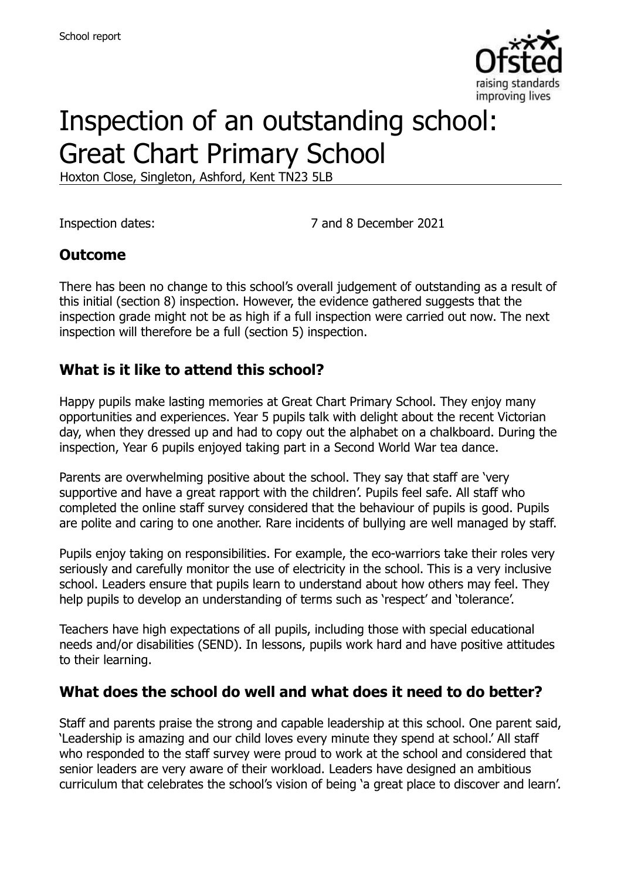

# Inspection of an outstanding school: Great Chart Primary School

Hoxton Close, Singleton, Ashford, Kent TN23 5LB

Inspection dates: 7 and 8 December 2021

#### **Outcome**

There has been no change to this school's overall judgement of outstanding as a result of this initial (section 8) inspection. However, the evidence gathered suggests that the inspection grade might not be as high if a full inspection were carried out now. The next inspection will therefore be a full (section 5) inspection.

#### **What is it like to attend this school?**

Happy pupils make lasting memories at Great Chart Primary School. They enjoy many opportunities and experiences. Year 5 pupils talk with delight about the recent Victorian day, when they dressed up and had to copy out the alphabet on a chalkboard. During the inspection, Year 6 pupils enjoyed taking part in a Second World War tea dance.

Parents are overwhelming positive about the school. They say that staff are 'very supportive and have a great rapport with the children'. Pupils feel safe. All staff who completed the online staff survey considered that the behaviour of pupils is good. Pupils are polite and caring to one another. Rare incidents of bullying are well managed by staff.

Pupils enjoy taking on responsibilities. For example, the eco-warriors take their roles very seriously and carefully monitor the use of electricity in the school. This is a very inclusive school. Leaders ensure that pupils learn to understand about how others may feel. They help pupils to develop an understanding of terms such as 'respect' and 'tolerance'.

Teachers have high expectations of all pupils, including those with special educational needs and/or disabilities (SEND). In lessons, pupils work hard and have positive attitudes to their learning.

#### **What does the school do well and what does it need to do better?**

Staff and parents praise the strong and capable leadership at this school. One parent said, 'Leadership is amazing and our child loves every minute they spend at school.' All staff who responded to the staff survey were proud to work at the school and considered that senior leaders are very aware of their workload. Leaders have designed an ambitious curriculum that celebrates the school's vision of being 'a great place to discover and learn'.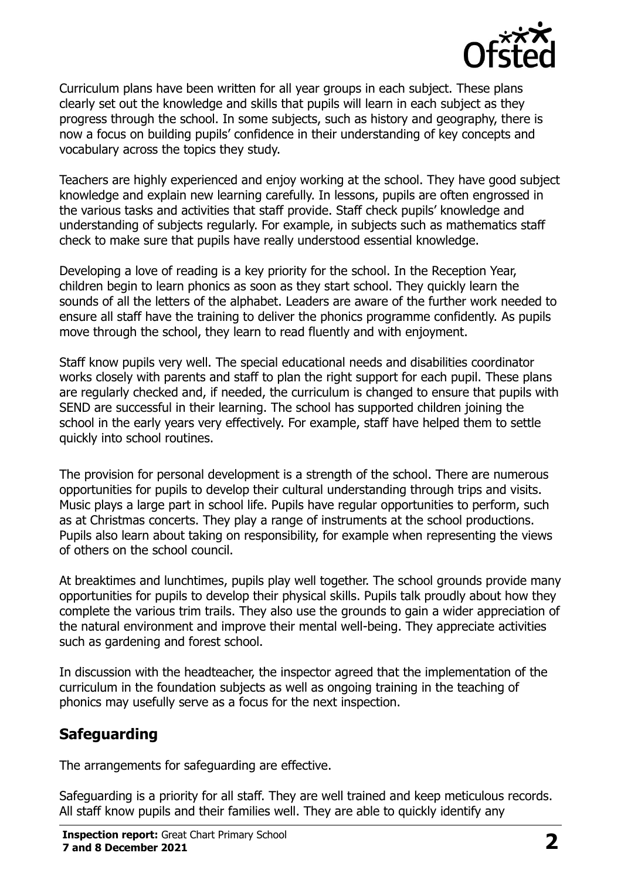

Curriculum plans have been written for all year groups in each subject. These plans clearly set out the knowledge and skills that pupils will learn in each subject as they progress through the school. In some subjects, such as history and geography, there is now a focus on building pupils' confidence in their understanding of key concepts and vocabulary across the topics they study.

Teachers are highly experienced and enjoy working at the school. They have good subject knowledge and explain new learning carefully. In lessons, pupils are often engrossed in the various tasks and activities that staff provide. Staff check pupils' knowledge and understanding of subjects regularly. For example, in subjects such as mathematics staff check to make sure that pupils have really understood essential knowledge.

Developing a love of reading is a key priority for the school. In the Reception Year, children begin to learn phonics as soon as they start school. They quickly learn the sounds of all the letters of the alphabet. Leaders are aware of the further work needed to ensure all staff have the training to deliver the phonics programme confidently. As pupils move through the school, they learn to read fluently and with enjoyment.

Staff know pupils very well. The special educational needs and disabilities coordinator works closely with parents and staff to plan the right support for each pupil. These plans are regularly checked and, if needed, the curriculum is changed to ensure that pupils with SEND are successful in their learning. The school has supported children joining the school in the early years very effectively. For example, staff have helped them to settle quickly into school routines.

The provision for personal development is a strength of the school. There are numerous opportunities for pupils to develop their cultural understanding through trips and visits. Music plays a large part in school life. Pupils have regular opportunities to perform, such as at Christmas concerts. They play a range of instruments at the school productions. Pupils also learn about taking on responsibility, for example when representing the views of others on the school council.

At breaktimes and lunchtimes, pupils play well together. The school grounds provide many opportunities for pupils to develop their physical skills. Pupils talk proudly about how they complete the various trim trails. They also use the grounds to gain a wider appreciation of the natural environment and improve their mental well-being. They appreciate activities such as gardening and forest school.

In discussion with the headteacher, the inspector agreed that the implementation of the curriculum in the foundation subjects as well as ongoing training in the teaching of phonics may usefully serve as a focus for the next inspection.

# **Safeguarding**

The arrangements for safeguarding are effective.

Safeguarding is a priority for all staff. They are well trained and keep meticulous records. All staff know pupils and their families well. They are able to quickly identify any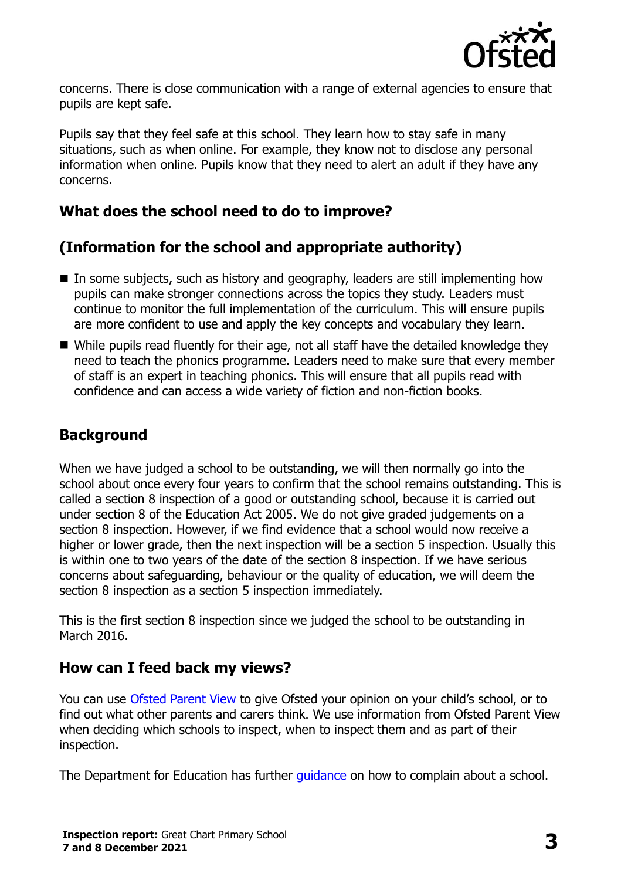

concerns. There is close communication with a range of external agencies to ensure that pupils are kept safe.

Pupils say that they feel safe at this school. They learn how to stay safe in many situations, such as when online. For example, they know not to disclose any personal information when online. Pupils know that they need to alert an adult if they have any concerns.

## **What does the school need to do to improve?**

# **(Information for the school and appropriate authority)**

- In some subjects, such as history and geography, leaders are still implementing how pupils can make stronger connections across the topics they study. Leaders must continue to monitor the full implementation of the curriculum. This will ensure pupils are more confident to use and apply the key concepts and vocabulary they learn.
- While pupils read fluently for their age, not all staff have the detailed knowledge they need to teach the phonics programme. Leaders need to make sure that every member of staff is an expert in teaching phonics. This will ensure that all pupils read with confidence and can access a wide variety of fiction and non-fiction books.

# **Background**

When we have judged a school to be outstanding, we will then normally go into the school about once every four years to confirm that the school remains outstanding. This is called a section 8 inspection of a good or outstanding school, because it is carried out under section 8 of the Education Act 2005. We do not give graded judgements on a section 8 inspection. However, if we find evidence that a school would now receive a higher or lower grade, then the next inspection will be a section 5 inspection. Usually this is within one to two years of the date of the section 8 inspection. If we have serious concerns about safeguarding, behaviour or the quality of education, we will deem the section 8 inspection as a section 5 inspection immediately.

This is the first section 8 inspection since we judged the school to be outstanding in March 2016.

#### **How can I feed back my views?**

You can use [Ofsted Parent View](https://parentview.ofsted.gov.uk/) to give Ofsted your opinion on your child's school, or to find out what other parents and carers think. We use information from Ofsted Parent View when deciding which schools to inspect, when to inspect them and as part of their inspection.

The Department for Education has further *guidance* on how to complain about a school.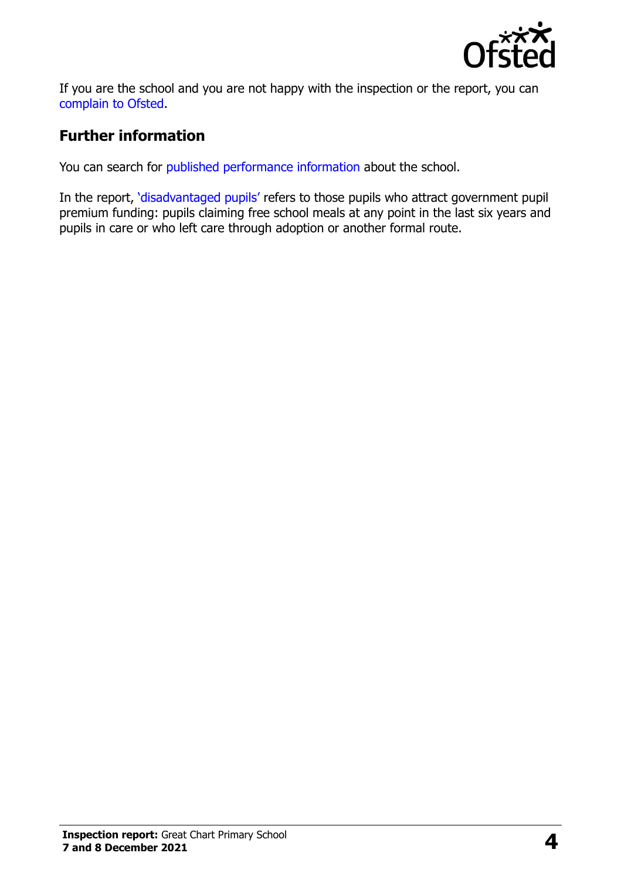

If you are the school and you are not happy with the inspection or the report, you can [complain to Ofsted.](https://www.gov.uk/complain-ofsted-report)

## **Further information**

You can search for [published performance information](http://www.compare-school-performance.service.gov.uk/) about the school.

In the report, '[disadvantaged pupils](http://www.gov.uk/guidance/pupil-premium-information-for-schools-and-alternative-provision-settings)' refers to those pupils who attract government pupil premium funding: pupils claiming free school meals at any point in the last six years and pupils in care or who left care through adoption or another formal route.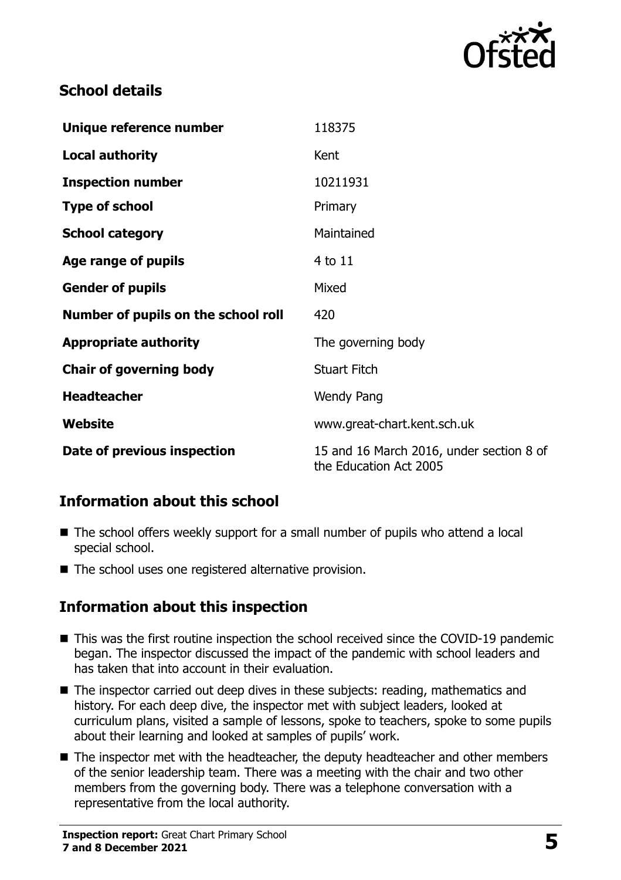

## **School details**

| Unique reference number             | 118375                                                             |
|-------------------------------------|--------------------------------------------------------------------|
| <b>Local authority</b>              | Kent                                                               |
| <b>Inspection number</b>            | 10211931                                                           |
| <b>Type of school</b>               | Primary                                                            |
| <b>School category</b>              | Maintained                                                         |
| Age range of pupils                 | 4 to 11                                                            |
| <b>Gender of pupils</b>             | Mixed                                                              |
| Number of pupils on the school roll | 420                                                                |
| <b>Appropriate authority</b>        | The governing body                                                 |
| <b>Chair of governing body</b>      | <b>Stuart Fitch</b>                                                |
| <b>Headteacher</b>                  | <b>Wendy Pang</b>                                                  |
| Website                             | www.great-chart.kent.sch.uk                                        |
| Date of previous inspection         | 15 and 16 March 2016, under section 8 of<br>the Education Act 2005 |

# **Information about this school**

- The school offers weekly support for a small number of pupils who attend a local special school.
- The school uses one registered alternative provision.

#### **Information about this inspection**

- This was the first routine inspection the school received since the COVID-19 pandemic began. The inspector discussed the impact of the pandemic with school leaders and has taken that into account in their evaluation.
- The inspector carried out deep dives in these subjects: reading, mathematics and history. For each deep dive, the inspector met with subject leaders, looked at curriculum plans, visited a sample of lessons, spoke to teachers, spoke to some pupils about their learning and looked at samples of pupils' work.
- The inspector met with the headteacher, the deputy headteacher and other members of the senior leadership team. There was a meeting with the chair and two other members from the governing body. There was a telephone conversation with a representative from the local authority.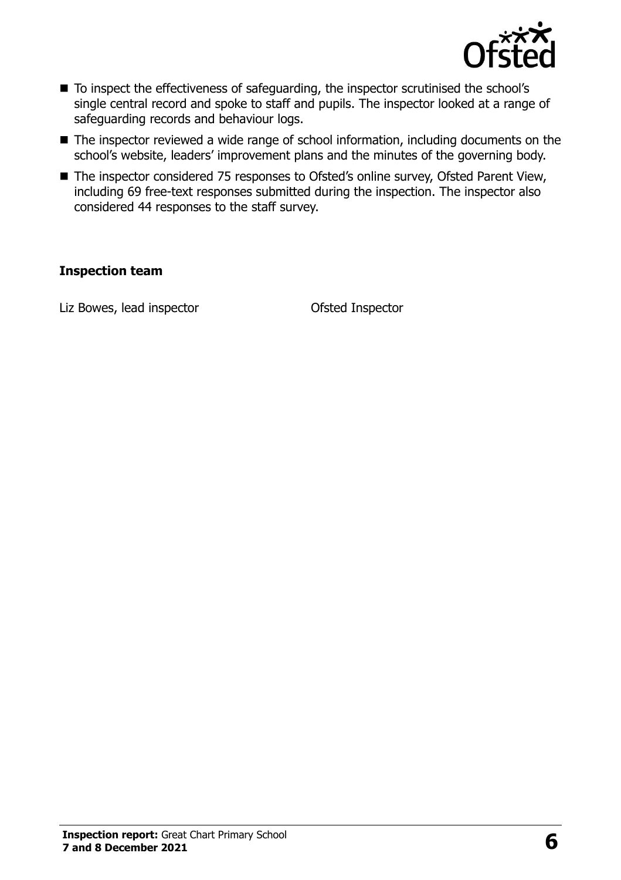

- To inspect the effectiveness of safeguarding, the inspector scrutinised the school's single central record and spoke to staff and pupils. The inspector looked at a range of safeguarding records and behaviour logs.
- The inspector reviewed a wide range of school information, including documents on the school's website, leaders' improvement plans and the minutes of the governing body.
- The inspector considered 75 responses to Ofsted's online survey, Ofsted Parent View, including 69 free-text responses submitted during the inspection. The inspector also considered 44 responses to the staff survey.

#### **Inspection team**

Liz Bowes, lead inspector **CELC CONTER CONTER** Ofsted Inspector